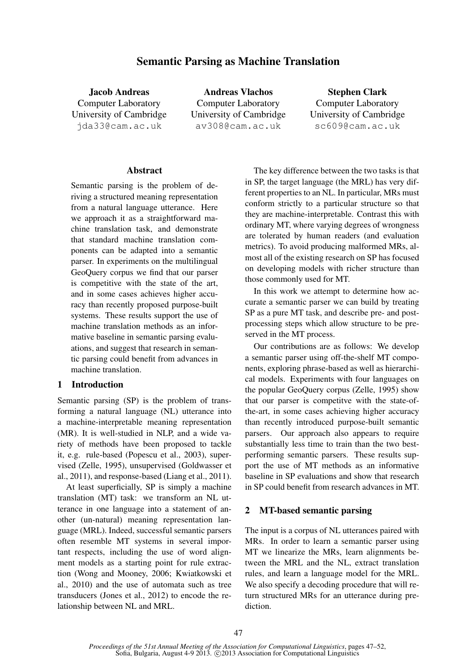# Semantic Parsing as Machine Translation

Jacob Andreas Computer Laboratory University of Cambridge jda33@cam.ac.uk

Andreas Vlachos Computer Laboratory University of Cambridge av308@cam.ac.uk

Stephen Clark Computer Laboratory University of Cambridge sc609@cam.ac.uk

#### Abstract

Semantic parsing is the problem of deriving a structured meaning representation from a natural language utterance. Here we approach it as a straightforward machine translation task, and demonstrate that standard machine translation components can be adapted into a semantic parser. In experiments on the multilingual GeoQuery corpus we find that our parser is competitive with the state of the art, and in some cases achieves higher accuracy than recently proposed purpose-built systems. These results support the use of machine translation methods as an informative baseline in semantic parsing evaluations, and suggest that research in semantic parsing could benefit from advances in machine translation.

#### 1 Introduction

Semantic parsing (SP) is the problem of transforming a natural language (NL) utterance into a machine-interpretable meaning representation (MR). It is well-studied in NLP, and a wide variety of methods have been proposed to tackle it, e.g. rule-based (Popescu et al., 2003), supervised (Zelle, 1995), unsupervised (Goldwasser et al., 2011), and response-based (Liang et al., 2011).

At least superficially, SP is simply a machine translation (MT) task: we transform an NL utterance in one language into a statement of another (un-natural) meaning representation language (MRL). Indeed, successful semantic parsers often resemble MT systems in several important respects, including the use of word alignment models as a starting point for rule extraction (Wong and Mooney, 2006; Kwiatkowski et al., 2010) and the use of automata such as tree transducers (Jones et al., 2012) to encode the relationship between NL and MRL.

The key difference between the two tasks is that in SP, the target language (the MRL) has very different properties to an NL. In particular, MRs must conform strictly to a particular structure so that they are machine-interpretable. Contrast this with ordinary MT, where varying degrees of wrongness are tolerated by human readers (and evaluation metrics). To avoid producing malformed MRs, almost all of the existing research on SP has focused on developing models with richer structure than those commonly used for MT.

In this work we attempt to determine how accurate a semantic parser we can build by treating SP as a pure MT task, and describe pre- and postprocessing steps which allow structure to be preserved in the MT process.

Our contributions are as follows: We develop a semantic parser using off-the-shelf MT components, exploring phrase-based as well as hierarchical models. Experiments with four languages on the popular GeoQuery corpus (Zelle, 1995) show that our parser is competitve with the state-ofthe-art, in some cases achieving higher accuracy than recently introduced purpose-built semantic parsers. Our approach also appears to require substantially less time to train than the two bestperforming semantic parsers. These results support the use of MT methods as an informative baseline in SP evaluations and show that research in SP could benefit from research advances in MT.

### 2 MT-based semantic parsing

The input is a corpus of NL utterances paired with MRs. In order to learn a semantic parser using MT we linearize the MRs, learn alignments between the MRL and the NL, extract translation rules, and learn a language model for the MRL. We also specify a decoding procedure that will return structured MRs for an utterance during prediction.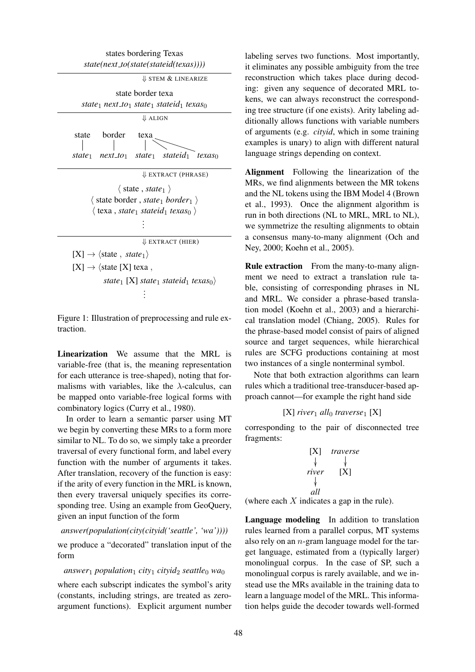

Figure 1: Illustration of preprocessing and rule extraction.

Linearization We assume that the MRL is variable-free (that is, the meaning representation for each utterance is tree-shaped), noting that formalisms with variables, like the  $\lambda$ -calculus, can be mapped onto variable-free logical forms with combinatory logics (Curry et al., 1980).

In order to learn a semantic parser using MT we begin by converting these MRs to a form more similar to NL. To do so, we simply take a preorder traversal of every functional form, and label every function with the number of arguments it takes. After translation, recovery of the function is easy: if the arity of every function in the MRL is known, then every traversal uniquely specifies its corresponding tree. Using an example from GeoQuery, given an input function of the form

*answer(population(city(cityid('seattle', 'wa'))))*

we produce a "decorated" translation input of the form

 $answer_1$  *population*<sub>1</sub> *city*<sub>1</sub> *cityid*<sub>2</sub> *seattle*<sup>0</sup> *wa*<sup>0</sup>

where each subscript indicates the symbol's arity (constants, including strings, are treated as zeroargument functions). Explicit argument number labeling serves two functions. Most importantly, it eliminates any possible ambiguity from the tree reconstruction which takes place during decoding: given any sequence of decorated MRL tokens, we can always reconstruct the corresponding tree structure (if one exists). Arity labeling additionally allows functions with variable numbers of arguments (e.g. *cityid*, which in some training examples is unary) to align with different natural language strings depending on context.

Alignment Following the linearization of the MRs, we find alignments between the MR tokens and the NL tokens using the IBM Model 4 (Brown et al., 1993). Once the alignment algorithm is run in both directions (NL to MRL, MRL to NL), we symmetrize the resulting alignments to obtain a consensus many-to-many alignment (Och and Ney, 2000; Koehn et al., 2005).

Rule extraction From the many-to-many alignment we need to extract a translation rule table, consisting of corresponding phrases in NL and MRL. We consider a phrase-based translation model (Koehn et al., 2003) and a hierarchical translation model (Chiang, 2005). Rules for the phrase-based model consist of pairs of aligned source and target sequences, while hierarchical rules are SCFG productions containing at most two instances of a single nonterminal symbol.

Note that both extraction algorithms can learn rules which a traditional tree-transducer-based approach cannot—for example the right hand side

#### $[X]$  *river*<sub>1</sub> *all*<sub>0</sub> *traverse*<sub>1</sub>  $[X]$

corresponding to the pair of disconnected tree fragments:

$$
\begin{array}{ccc}\n[X] & \text{traverse} \\
\downarrow & \downarrow \\
\text{river} & [X] \\
\downarrow & \text{all}\n\end{array}
$$

(where each  $X$  indicates a gap in the rule).

Language modeling In addition to translation rules learned from a parallel corpus, MT systems also rely on an n-gram language model for the target language, estimated from a (typically larger) monolingual corpus. In the case of SP, such a monolingual corpus is rarely available, and we instead use the MRs available in the training data to learn a language model of the MRL. This information helps guide the decoder towards well-formed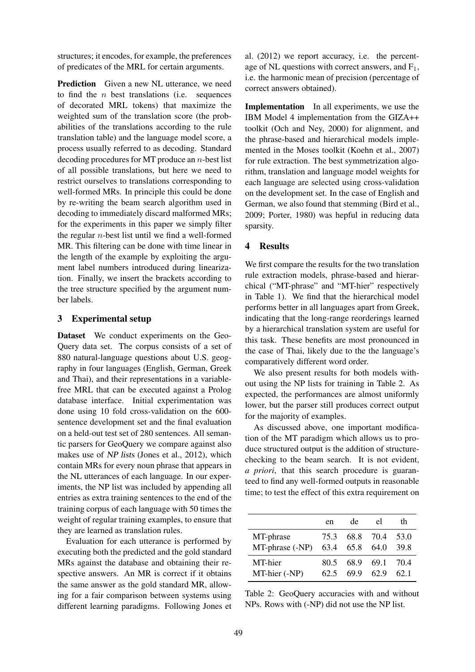structures; it encodes, for example, the preferences of predicates of the MRL for certain arguments.

**Prediction** Given a new NL utterance, we need to find the  $n$  best translations (i.e. sequences of decorated MRL tokens) that maximize the weighted sum of the translation score (the probabilities of the translations according to the rule translation table) and the language model score, a process usually referred to as decoding. Standard decoding procedures for MT produce an n-best list of all possible translations, but here we need to restrict ourselves to translations corresponding to well-formed MRs. In principle this could be done by re-writing the beam search algorithm used in decoding to immediately discard malformed MRs; for the experiments in this paper we simply filter the regular  $n$ -best list until we find a well-formed MR. This filtering can be done with time linear in the length of the example by exploiting the argument label numbers introduced during linearization. Finally, we insert the brackets according to the tree structure specified by the argument number labels.

### 3 Experimental setup

Dataset We conduct experiments on the Geo-Query data set. The corpus consists of a set of 880 natural-language questions about U.S. geography in four languages (English, German, Greek and Thai), and their representations in a variablefree MRL that can be executed against a Prolog database interface. Initial experimentation was done using 10 fold cross-validation on the 600 sentence development set and the final evaluation on a held-out test set of 280 sentences. All semantic parsers for GeoQuery we compare against also makes use of NP lists (Jones et al., 2012), which contain MRs for every noun phrase that appears in the NL utterances of each language. In our experiments, the NP list was included by appending all entries as extra training sentences to the end of the training corpus of each language with 50 times the weight of regular training examples, to ensure that they are learned as translation rules.

Evaluation for each utterance is performed by executing both the predicted and the gold standard MRs against the database and obtaining their respective answers. An MR is correct if it obtains the same answer as the gold standard MR, allowing for a fair comparison between systems using different learning paradigms. Following Jones et

al. (2012) we report accuracy, i.e. the percentage of NL questions with correct answers, and  $F_1$ , i.e. the harmonic mean of precision (percentage of correct answers obtained).

Implementation In all experiments, we use the IBM Model 4 implementation from the GIZA++ toolkit (Och and Ney, 2000) for alignment, and the phrase-based and hierarchical models implemented in the Moses toolkit (Koehn et al., 2007) for rule extraction. The best symmetrization algorithm, translation and language model weights for each language are selected using cross-validation on the development set. In the case of English and German, we also found that stemming (Bird et al., 2009; Porter, 1980) was hepful in reducing data sparsity.

#### 4 Results

We first compare the results for the two translation rule extraction models, phrase-based and hierarchical ("MT-phrase" and "MT-hier" respectively in Table 1). We find that the hierarchical model performs better in all languages apart from Greek, indicating that the long-range reorderings learned by a hierarchical translation system are useful for this task. These benefits are most pronounced in the case of Thai, likely due to the the language's comparatively different word order.

We also present results for both models without using the NP lists for training in Table 2. As expected, the performances are almost uniformly lower, but the parser still produces correct output for the majority of examples.

As discussed above, one important modification of the MT paradigm which allows us to produce structured output is the addition of structurechecking to the beam search. It is not evident, *a priori*, that this search procedure is guaranteed to find any well-formed outputs in reasonable time; to test the effect of this extra requirement on

|                 | en   | de             | el   | th   |
|-----------------|------|----------------|------|------|
| MT-phrase       | 75.3 | 68.8 70.4      |      | 53.0 |
| MT-phrase (-NP) |      | 63.4 65.8 64.0 |      | 39.8 |
| MT-hier         | 80.5 | 68.9           | 69.1 | 70.4 |
| MT-hier (-NP)   | 62.5 | 69.9           | 62.9 | 62.1 |

Table 2: GeoQuery accuracies with and without NPs. Rows with (-NP) did not use the NP list.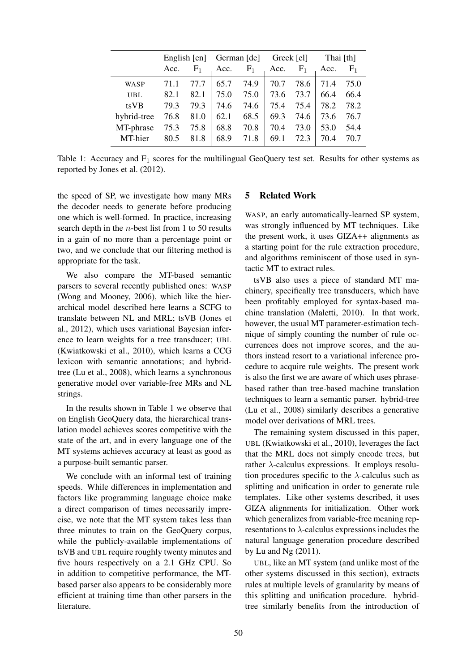|             | English [en] |       | German [de] |       | Greek [el] |                | Thai [th] |                |
|-------------|--------------|-------|-------------|-------|------------|----------------|-----------|----------------|
|             | Acc.         | $F_1$ | Acc.        | $F_1$ | Acc.       | F <sub>1</sub> | Acc.      | F <sub>1</sub> |
| <b>WASP</b> | 71.1         | 77.7  | 65.7        | 74.9  | 70.7       | 78.6           | 71.4      | 75.0           |
| <b>UBL</b>  | 82.1         | 82.1  | 75.0        | 75.0  | 73.6       | 73.7           | 66.4      | 66.4           |
| tsVB        | 79.3         | 79.3  | 74.6        | 74.6  | 75.4       | 75.4           | 78.2      | 78.2           |
| hybrid-tree | 76.8         | 81.0  | 62.1        | 68.5  | 69.3       | 74.6           | 73.6      | 76.7           |
| MT-phrase   | 75.3         | 75.8  | 68.8        | 70.8  | 70.4       | 73.0           | 53.0      | 54.4           |
| MT-hier     | 80.5         | 81.8  | 68.9        | 71.8  | 69.1       | 72.3           | 70.4      | 70.7           |

Table 1: Accuracy and  $F_1$  scores for the multilingual GeoQuery test set. Results for other systems as reported by Jones et al. (2012).

the speed of SP, we investigate how many MRs the decoder needs to generate before producing one which is well-formed. In practice, increasing search depth in the n-best list from 1 to 50 results in a gain of no more than a percentage point or two, and we conclude that our filtering method is appropriate for the task.

We also compare the MT-based semantic parsers to several recently published ones: WASP (Wong and Mooney, 2006), which like the hierarchical model described here learns a SCFG to translate between NL and MRL; tsVB (Jones et al., 2012), which uses variational Bayesian inference to learn weights for a tree transducer; UBL (Kwiatkowski et al., 2010), which learns a CCG lexicon with semantic annotations; and hybridtree (Lu et al., 2008), which learns a synchronous generative model over variable-free MRs and NL strings.

In the results shown in Table 1 we observe that on English GeoQuery data, the hierarchical translation model achieves scores competitive with the state of the art, and in every language one of the MT systems achieves accuracy at least as good as a purpose-built semantic parser.

We conclude with an informal test of training speeds. While differences in implementation and factors like programming language choice make a direct comparison of times necessarily imprecise, we note that the MT system takes less than three minutes to train on the GeoQuery corpus, while the publicly-available implementations of tsVB and UBL require roughly twenty minutes and five hours respectively on a 2.1 GHz CPU. So in addition to competitive performance, the MTbased parser also appears to be considerably more efficient at training time than other parsers in the literature.

#### 5 Related Work

WASP, an early automatically-learned SP system, was strongly influenced by MT techniques. Like the present work, it uses GIZA++ alignments as a starting point for the rule extraction procedure, and algorithms reminiscent of those used in syntactic MT to extract rules.

tsVB also uses a piece of standard MT machinery, specifically tree transducers, which have been profitably employed for syntax-based machine translation (Maletti, 2010). In that work, however, the usual MT parameter-estimation technique of simply counting the number of rule occurrences does not improve scores, and the authors instead resort to a variational inference procedure to acquire rule weights. The present work is also the first we are aware of which uses phrasebased rather than tree-based machine translation techniques to learn a semantic parser. hybrid-tree (Lu et al., 2008) similarly describes a generative model over derivations of MRL trees.

The remaining system discussed in this paper, UBL (Kwiatkowski et al., 2010), leverages the fact that the MRL does not simply encode trees, but rather  $\lambda$ -calculus expressions. It employs resolution procedures specific to the  $\lambda$ -calculus such as splitting and unification in order to generate rule templates. Like other systems described, it uses GIZA alignments for initialization. Other work which generalizes from variable-free meaning representations to  $\lambda$ -calculus expressions includes the natural language generation procedure described by Lu and Ng (2011).

UBL, like an MT system (and unlike most of the other systems discussed in this section), extracts rules at multiple levels of granularity by means of this splitting and unification procedure. hybridtree similarly benefits from the introduction of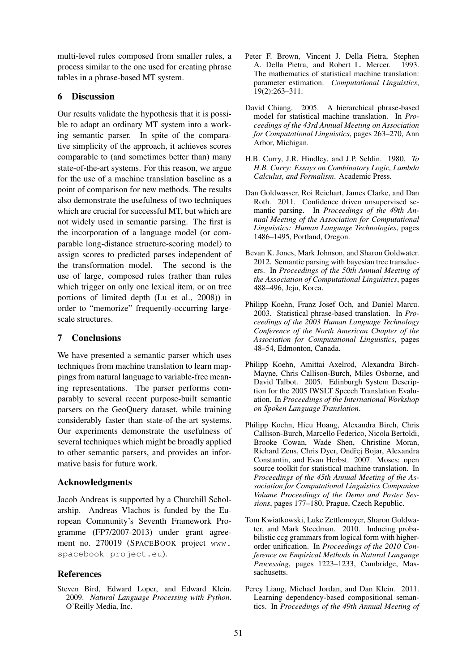multi-level rules composed from smaller rules, a process similar to the one used for creating phrase tables in a phrase-based MT system.

## 6 Discussion

Our results validate the hypothesis that it is possible to adapt an ordinary MT system into a working semantic parser. In spite of the comparative simplicity of the approach, it achieves scores comparable to (and sometimes better than) many state-of-the-art systems. For this reason, we argue for the use of a machine translation baseline as a point of comparison for new methods. The results also demonstrate the usefulness of two techniques which are crucial for successful MT, but which are not widely used in semantic parsing. The first is the incorporation of a language model (or comparable long-distance structure-scoring model) to assign scores to predicted parses independent of the transformation model. The second is the use of large, composed rules (rather than rules which trigger on only one lexical item, or on tree portions of limited depth (Lu et al., 2008)) in order to "memorize" frequently-occurring largescale structures.

# 7 Conclusions

We have presented a semantic parser which uses techniques from machine translation to learn mappings from natural language to variable-free meaning representations. The parser performs comparably to several recent purpose-built semantic parsers on the GeoQuery dataset, while training considerably faster than state-of-the-art systems. Our experiments demonstrate the usefulness of several techniques which might be broadly applied to other semantic parsers, and provides an informative basis for future work.

## Acknowledgments

Jacob Andreas is supported by a Churchill Scholarship. Andreas Vlachos is funded by the European Community's Seventh Framework Programme (FP7/2007-2013) under grant agreement no. 270019 (SPACEBOOK project www. spacebook-project.eu).

## References

Steven Bird, Edward Loper, and Edward Klein. 2009. *Natural Language Processing with Python*. O'Reilly Media, Inc.

- Peter F. Brown, Vincent J. Della Pietra, Stephen A. Della Pietra, and Robert L. Mercer. 1993. The mathematics of statistical machine translation: parameter estimation. *Computational Linguistics*, 19(2):263–311.
- David Chiang. 2005. A hierarchical phrase-based model for statistical machine translation. In *Proceedings of the 43rd Annual Meeting on Association for Computational Linguistics*, pages 263–270, Ann Arbor, Michigan.
- H.B. Curry, J.R. Hindley, and J.P. Seldin. 1980. *To H.B. Curry: Essays on Combinatory Logic, Lambda Calculus, and Formalism*. Academic Press.
- Dan Goldwasser, Roi Reichart, James Clarke, and Dan Roth. 2011. Confidence driven unsupervised semantic parsing. In *Proceedings of the 49th Annual Meeting of the Association for Computational Linguistics: Human Language Technologies*, pages 1486–1495, Portland, Oregon.
- Bevan K. Jones, Mark Johnson, and Sharon Goldwater. 2012. Semantic parsing with bayesian tree transducers. In *Proceedings of the 50th Annual Meeting of the Association of Computational Linguistics*, pages 488–496, Jeju, Korea.
- Philipp Koehn, Franz Josef Och, and Daniel Marcu. 2003. Statistical phrase-based translation. In *Proceedings of the 2003 Human Language Technology Conference of the North American Chapter of the Association for Computational Linguistics*, pages 48–54, Edmonton, Canada.
- Philipp Koehn, Amittai Axelrod, Alexandra Birch-Mayne, Chris Callison-Burch, Miles Osborne, and David Talbot. 2005. Edinburgh System Description for the 2005 IWSLT Speech Translation Evaluation. In *Proceedings of the International Workshop on Spoken Language Translation*.
- Philipp Koehn, Hieu Hoang, Alexandra Birch, Chris Callison-Burch, Marcello Federico, Nicola Bertoldi, Brooke Cowan, Wade Shen, Christine Moran, Richard Zens, Chris Dyer, Ondřej Bojar, Alexandra Constantin, and Evan Herbst. 2007. Moses: open source toolkit for statistical machine translation. In *Proceedings of the 45th Annual Meeting of the Association for Computational Linguistics Companion Volume Proceedings of the Demo and Poster Sessions*, pages 177–180, Prague, Czech Republic.
- Tom Kwiatkowski, Luke Zettlemoyer, Sharon Goldwater, and Mark Steedman. 2010. Inducing probabilistic ccg grammars from logical form with higherorder unification. In *Proceedings of the 2010 Conference on Empirical Methods in Natural Language Processing*, pages 1223–1233, Cambridge, Massachusetts.
- Percy Liang, Michael Jordan, and Dan Klein. 2011. Learning dependency-based compositional semantics. In *Proceedings of the 49th Annual Meeting of*